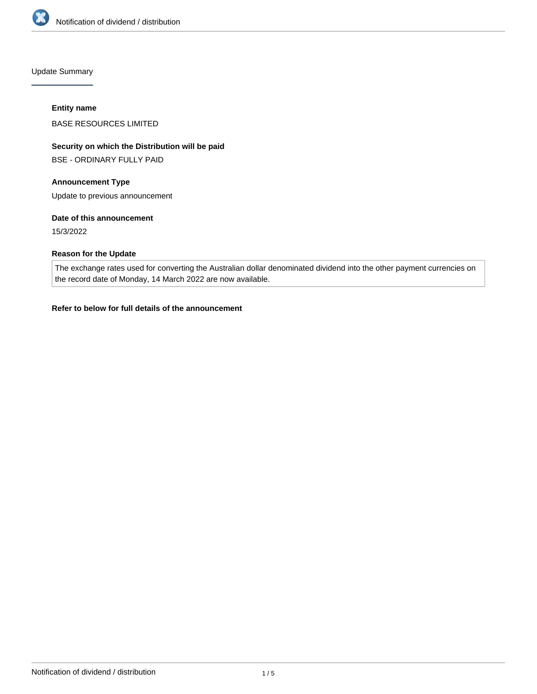

Update Summary

### **Entity name**

BASE RESOURCES LIMITED

# **Security on which the Distribution will be paid**

BSE - ORDINARY FULLY PAID

# **Announcement Type**

Update to previous announcement

## **Date of this announcement**

15/3/2022

# **Reason for the Update**

The exchange rates used for converting the Australian dollar denominated dividend into the other payment currencies on the record date of Monday, 14 March 2022 are now available.

# **Refer to below for full details of the announcement**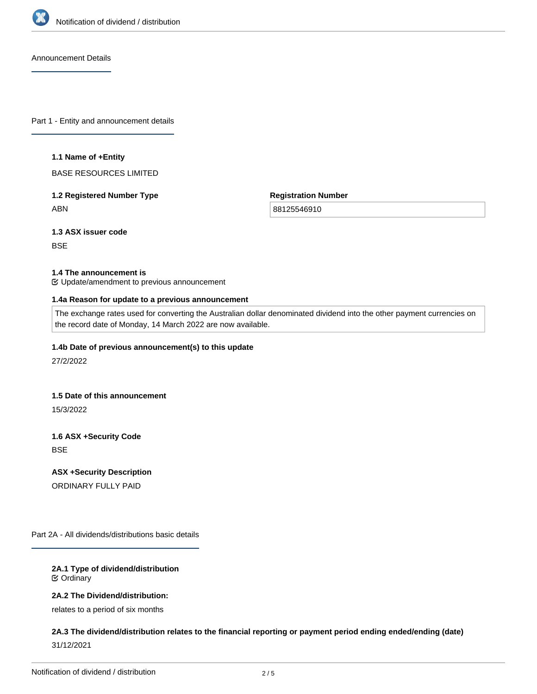

Announcement Details

Part 1 - Entity and announcement details

### **1.1 Name of +Entity**

BASE RESOURCES LIMITED

# **1.2 Registered Number Type** ABN

**Registration Number**

88125546910

**1.3 ASX issuer code**

**BSE** 

# **1.4 The announcement is**

Update/amendment to previous announcement

### **1.4a Reason for update to a previous announcement**

The exchange rates used for converting the Australian dollar denominated dividend into the other payment currencies on the record date of Monday, 14 March 2022 are now available.

### **1.4b Date of previous announcement(s) to this update**

27/2/2022

#### **1.5 Date of this announcement**

15/3/2022

**1.6 ASX +Security Code BSE** 

**ASX +Security Description**

ORDINARY FULLY PAID

Part 2A - All dividends/distributions basic details

## **2A.1 Type of dividend/distribution** Ordinary

# **2A.2 The Dividend/distribution:**

relates to a period of six months

# **2A.3 The dividend/distribution relates to the financial reporting or payment period ending ended/ending (date)** 31/12/2021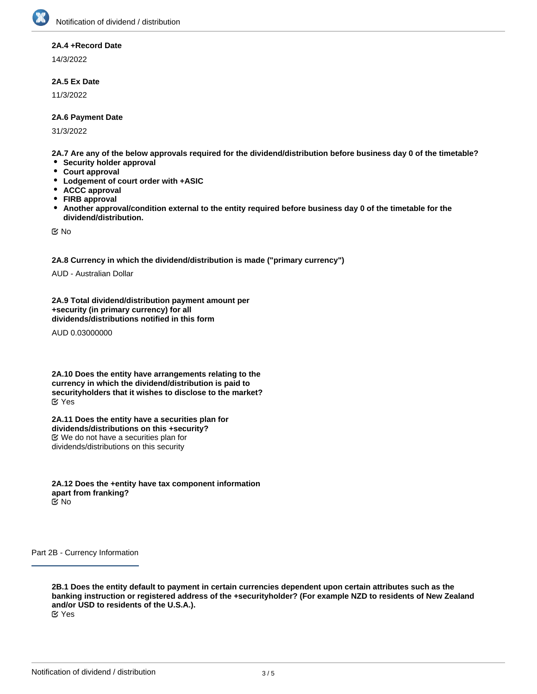### **2A.4 +Record Date**

14/3/2022

## **2A.5 Ex Date**

11/3/2022

### **2A.6 Payment Date**

31/3/2022

**2A.7 Are any of the below approvals required for the dividend/distribution before business day 0 of the timetable?**

- **Security holder approval**
- **Court approval**
- $\bullet$ **Lodgement of court order with +ASIC**
- $\bullet$ **ACCC approval**
- $\bullet$ **FIRB approval**
- $\bullet$ **Another approval/condition external to the entity required before business day 0 of the timetable for the dividend/distribution.**

No

**2A.8 Currency in which the dividend/distribution is made ("primary currency")**

AUD - Australian Dollar

**2A.9 Total dividend/distribution payment amount per +security (in primary currency) for all dividends/distributions notified in this form**

AUD 0.03000000

**2A.10 Does the entity have arrangements relating to the currency in which the dividend/distribution is paid to securityholders that it wishes to disclose to the market?** Yes

**2A.11 Does the entity have a securities plan for dividends/distributions on this +security?** We do not have a securities plan for dividends/distributions on this security

**2A.12 Does the +entity have tax component information apart from franking?** No

Part 2B - Currency Information

**2B.1 Does the entity default to payment in certain currencies dependent upon certain attributes such as the banking instruction or registered address of the +securityholder? (For example NZD to residents of New Zealand and/or USD to residents of the U.S.A.).** Yes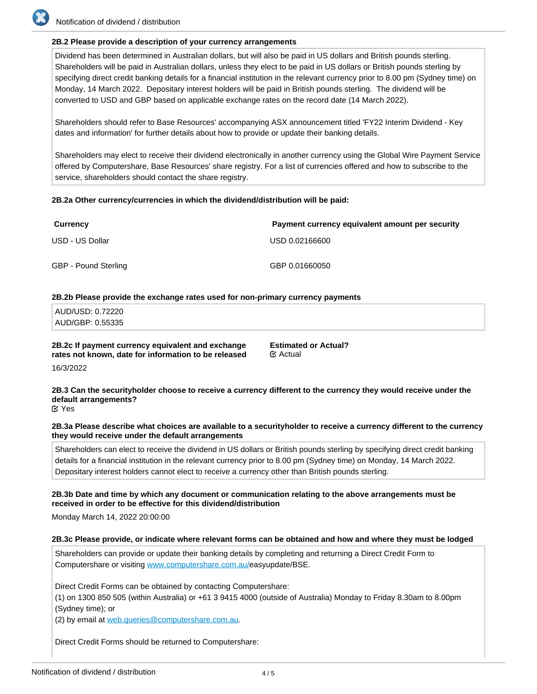# **2B.2 Please provide a description of your currency arrangements**

Dividend has been determined in Australian dollars, but will also be paid in US dollars and British pounds sterling. Shareholders will be paid in Australian dollars, unless they elect to be paid in US dollars or British pounds sterling by specifying direct credit banking details for a financial institution in the relevant currency prior to 8.00 pm (Sydney time) on Monday, 14 March 2022. Depositary interest holders will be paid in British pounds sterling. The dividend will be converted to USD and GBP based on applicable exchange rates on the record date (14 March 2022).

Shareholders should refer to Base Resources' accompanying ASX announcement titled 'FY22 Interim Dividend - Key dates and information' for further details about how to provide or update their banking details.

Shareholders may elect to receive their dividend electronically in another currency using the Global Wire Payment Service offered by Computershare, Base Resources' share registry. For a list of currencies offered and how to subscribe to the service, shareholders should contact the share registry.

## **2B.2a Other currency/currencies in which the dividend/distribution will be paid:**

| <b>Currency</b>      | Payment currency equivalent amount per security |
|----------------------|-------------------------------------------------|
| USD - US Dollar      | USD 0.02166600                                  |
| GBP - Pound Sterling | GBP 0.01660050                                  |

### **2B.2b Please provide the exchange rates used for non-primary currency payments**

| AUD/USD: 0.72220 |  |  |  |
|------------------|--|--|--|
| AUD/GBP: 0.55335 |  |  |  |

**2B.2c If payment currency equivalent and exchange rates not known, date for information to be released**

**Estimated or Actual? EX Actual** 

16/3/2022

**2B.3 Can the securityholder choose to receive a currency different to the currency they would receive under the default arrangements?**

Yes

### **2B.3a Please describe what choices are available to a securityholder to receive a currency different to the currency they would receive under the default arrangements**

Shareholders can elect to receive the dividend in US dollars or British pounds sterling by specifying direct credit banking details for a financial institution in the relevant currency prior to 8.00 pm (Sydney time) on Monday, 14 March 2022. Depositary interest holders cannot elect to receive a currency other than British pounds sterling.

### **2B.3b Date and time by which any document or communication relating to the above arrangements must be received in order to be effective for this dividend/distribution**

Monday March 14, 2022 20:00:00

### **2B.3c Please provide, or indicate where relevant forms can be obtained and how and where they must be lodged**

Shareholders can provide or update their banking details by completing and returning a Direct Credit Form to Computershare or visiting [www.computershare.com.au/](http://www.computershare.com.au/)easyupdate/BSE.

Direct Credit Forms can be obtained by contacting Computershare:

(1) on 1300 850 505 (within Australia) or +61 3 9415 4000 (outside of Australia) Monday to Friday 8.30am to 8.00pm (Sydney time); or

(2) by email at web.queries@computershare.com.au.

Direct Credit Forms should be returned to Computershare: